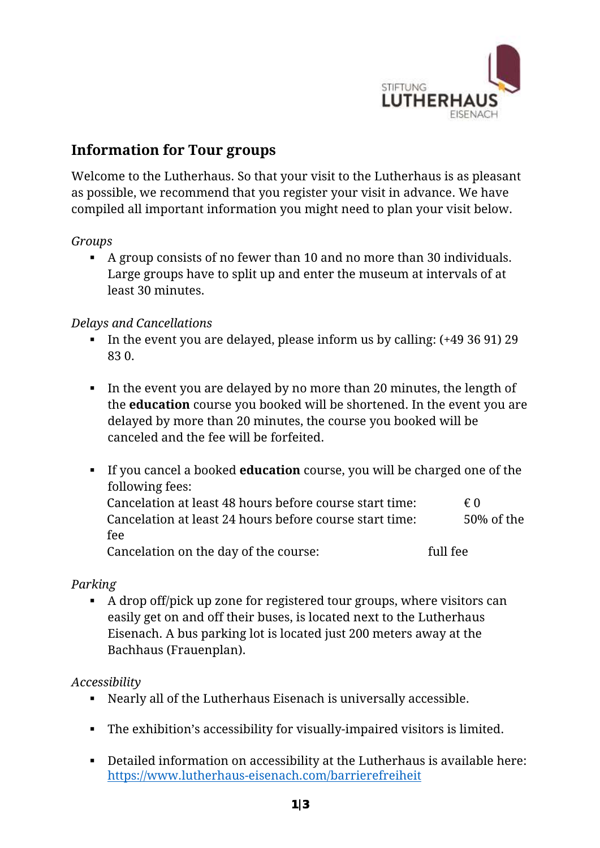

# **Information for Tour groups**

Welcome to the Lutherhaus. So that your visit to the Lutherhaus is as pleasant as possible, we recommend that you register your visit in advance. We have compiled all important information you might need to plan your visit below.

### *Groups*

 A group consists of no fewer than 10 and no more than 30 individuals. Large groups have to split up and enter the museum at intervals of at least 30 minutes.

### *Delays and Cancellations*

- In the event you are delayed, please inform us by calling:  $(+49\,36\,91)\,29$ 83 0.
- In the event you are delayed by no more than 20 minutes, the length of the **education** course you booked will be shortened. In the event you are delayed by more than 20 minutes, the course you booked will be canceled and the fee will be forfeited.
- If you cancel a booked **education** course, you will be charged one of the following fees: Cancelation at least 48 hours before course start time:  $\epsilon$  0 Cancelation at least 24 hours before course start time: 50% of the fee Cancelation on the day of the course: full fee

### *Parking*

A drop off/pick up zone for registered tour groups, where visitors can easily get on and off their buses, is located next to the Lutherhaus Eisenach. A bus parking lot is located just 200 meters away at the Bachhaus (Frauenplan).

### *Accessibility*

- Nearly all of the Lutherhaus Eisenach is universally accessible.
- The exhibition's accessibility for visually-impaired visitors is limited.
- Detailed information on accessibility at the Lutherhaus is available here: <https://www.lutherhaus-eisenach.com/barrierefreiheit>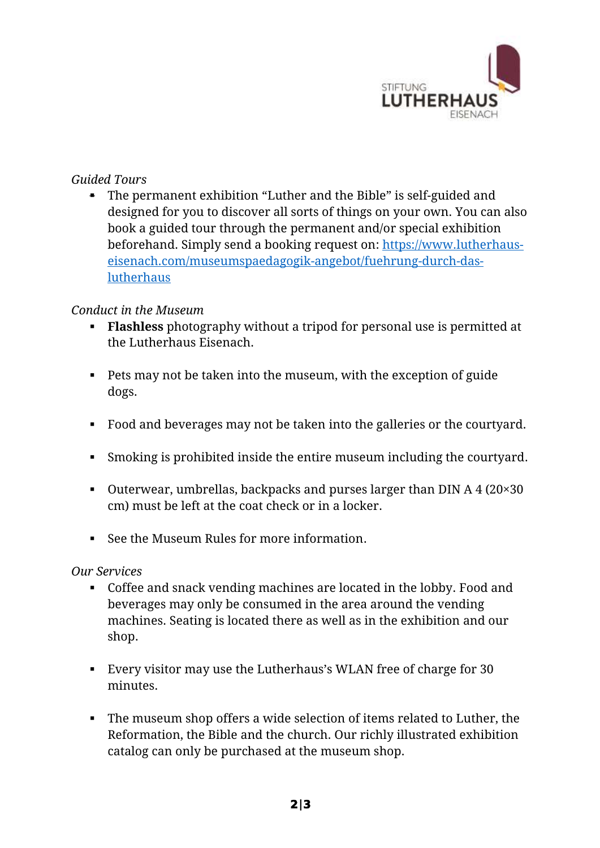

## *Guided Tours*

 The permanent exhibition "Luther and the Bible" is self-guided and designed for you to discover all sorts of things on your own. You can also book a guided tour through the permanent and/or special exhibition beforehand. Simply send a booking request on: [https://www.lutherhaus](https://www.lutherhaus-eisenach.com/museumspaedagogik-angebot/fuehrung-durch-das-lutherhaus)[eisenach.com/museumspaedagogik-angebot/fuehrung-durch-das](https://www.lutherhaus-eisenach.com/museumspaedagogik-angebot/fuehrung-durch-das-lutherhaus)[lutherhaus](https://www.lutherhaus-eisenach.com/museumspaedagogik-angebot/fuehrung-durch-das-lutherhaus)

### *Conduct in the Museum*

- **Flashless** photography without a tripod for personal use is permitted at the Lutherhaus Eisenach.
- Pets may not be taken into the museum, with the exception of guide dogs.
- Food and beverages may not be taken into the galleries or the courtyard.
- Smoking is prohibited inside the entire museum including the courtyard.
- Outerwear, umbrellas, backpacks and purses larger than DIN A  $4(20\times30)$ cm) must be left at the coat check or in a locker.
- See the Museum Rules for more information.

#### *Our Services*

- Coffee and snack vending machines are located in the lobby. Food and beverages may only be consumed in the area around the vending machines. Seating is located there as well as in the exhibition and our shop.
- Every visitor may use the Lutherhaus's WLAN free of charge for 30 minutes.
- The museum shop offers a wide selection of items related to Luther, the Reformation, the Bible and the church. Our richly illustrated exhibition catalog can only be purchased at the museum shop.